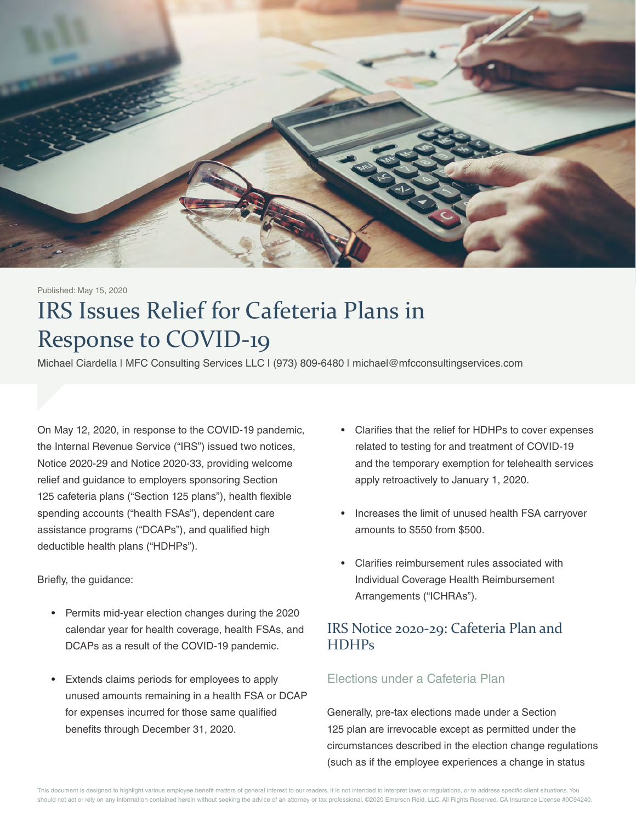

#### Published: May 15, 2020

# IRS Issues Relief for Cafeteria Plans in Response to COVID-19

Michael Ciardella | MFC Consulting Services LLC | (973) 809-6480 | michael@mfcconsultingservices.com

On May 12, 2020, in response to the COVID-19 pandemic, the Internal Revenue Service ("IRS") issued two notices, Notice 2020-29 and Notice 2020-33, providing welcome relief and guidance to employers sponsoring Section 125 cafeteria plans ("Section 125 plans"), health flexible spending accounts ("health FSAs"), dependent care assistance programs ("DCAPs"), and qualified high deductible health plans ("HDHPs").

Briefly, the guidance:

- Permits mid-year election changes during the 2020 calendar year for health coverage, health FSAs, and DCAPs as a result of the COVID-19 pandemic.
- Extends claims periods for employees to apply unused amounts remaining in a health FSA or DCAP for expenses incurred for those same qualified benefits through December 31, 2020.
- Clarifies that the relief for HDHPs to cover expenses related to testing for and treatment of COVID-19 and the temporary exemption for telehealth services apply retroactively to January 1, 2020.
- Increases the limit of unused health FSA carryover amounts to \$550 from \$500.
- Clarifies reimbursement rules associated with Individual Coverage Health Reimbursement Arrangements ("ICHRAs").

# IRS Notice 2020-29: Cafeteria Plan and **HDHPs**

## Elections under a Cafeteria Plan

Generally, pre-tax elections made under a Section 125 plan are irrevocable except as permitted under the circumstances described in the election change regulations (such as if the employee experiences a change in status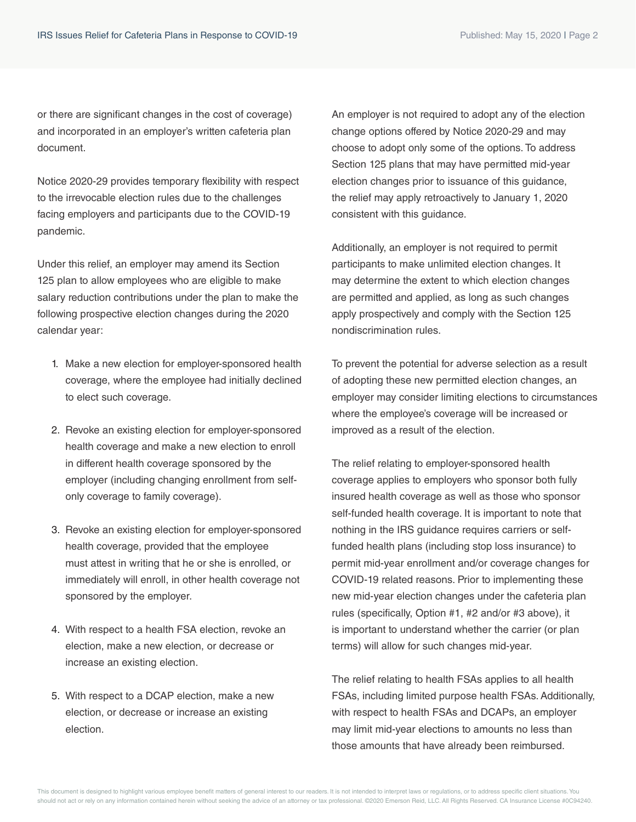or there are significant changes in the cost of coverage) and incorporated in an employer's written cafeteria plan document.

Notice 2020-29 provides temporary flexibility with respect to the irrevocable election rules due to the challenges facing employers and participants due to the COVID-19 pandemic.

Under this relief, an employer may amend its Section 125 plan to allow employees who are eligible to make salary reduction contributions under the plan to make the following prospective election changes during the 2020 calendar year:

- 1. Make a new election for employer-sponsored health coverage, where the employee had initially declined to elect such coverage.
- 2. Revoke an existing election for employer-sponsored health coverage and make a new election to enroll in different health coverage sponsored by the employer (including changing enrollment from selfonly coverage to family coverage).
- 3. Revoke an existing election for employer-sponsored health coverage, provided that the employee must attest in writing that he or she is enrolled, or immediately will enroll, in other health coverage not sponsored by the employer.
- 4. With respect to a health FSA election, revoke an election, make a new election, or decrease or increase an existing election.
- 5. With respect to a DCAP election, make a new election, or decrease or increase an existing election.

An employer is not required to adopt any of the election change options offered by Notice 2020-29 and may choose to adopt only some of the options. To address Section 125 plans that may have permitted mid-year election changes prior to issuance of this guidance, the relief may apply retroactively to January 1, 2020 consistent with this guidance.

Additionally, an employer is not required to permit participants to make unlimited election changes. It may determine the extent to which election changes are permitted and applied, as long as such changes apply prospectively and comply with the Section 125 nondiscrimination rules.

To prevent the potential for adverse selection as a result of adopting these new permitted election changes, an employer may consider limiting elections to circumstances where the employee's coverage will be increased or improved as a result of the election.

The relief relating to employer-sponsored health coverage applies to employers who sponsor both fully insured health coverage as well as those who sponsor self-funded health coverage. It is important to note that nothing in the IRS guidance requires carriers or selffunded health plans (including stop loss insurance) to permit mid-year enrollment and/or coverage changes for COVID-19 related reasons. Prior to implementing these new mid-year election changes under the cafeteria plan rules (specifically, Option #1, #2 and/or #3 above), it is important to understand whether the carrier (or plan terms) will allow for such changes mid-year.

The relief relating to health FSAs applies to all health FSAs, including limited purpose health FSAs. Additionally, with respect to health FSAs and DCAPs, an employer may limit mid-year elections to amounts no less than those amounts that have already been reimbursed.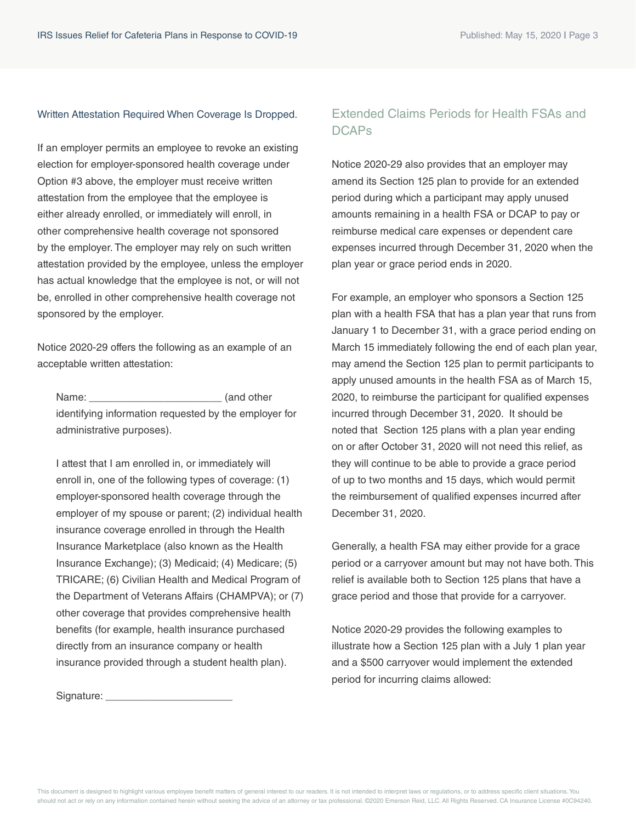#### Written Attestation Required When Coverage Is Dropped.

If an employer permits an employee to revoke an existing election for employer-sponsored health coverage under Option #3 above, the employer must receive written attestation from the employee that the employee is either already enrolled, or immediately will enroll, in other comprehensive health coverage not sponsored by the employer. The employer may rely on such written attestation provided by the employee, unless the employer has actual knowledge that the employee is not, or will not be, enrolled in other comprehensive health coverage not sponsored by the employer.

Notice 2020-29 offers the following as an example of an acceptable written attestation:

Name:  $\blacksquare$  (and other identifying information requested by the employer for administrative purposes).

I attest that I am enrolled in, or immediately will enroll in, one of the following types of coverage: (1) employer-sponsored health coverage through the employer of my spouse or parent; (2) individual health insurance coverage enrolled in through the Health Insurance Marketplace (also known as the Health Insurance Exchange); (3) Medicaid; (4) Medicare; (5) TRICARE; (6) Civilian Health and Medical Program of the Department of Veterans Affairs (CHAMPVA); or (7) other coverage that provides comprehensive health benefits (for example, health insurance purchased directly from an insurance company or health insurance provided through a student health plan).

Signature: \_\_\_\_\_\_\_\_\_\_\_\_\_\_\_\_\_\_\_\_\_\_

## Extended Claims Periods for Health FSAs and **DCAPs**

Notice 2020-29 also provides that an employer may amend its Section 125 plan to provide for an extended period during which a participant may apply unused amounts remaining in a health FSA or DCAP to pay or reimburse medical care expenses or dependent care expenses incurred through December 31, 2020 when the plan year or grace period ends in 2020.

For example, an employer who sponsors a Section 125 plan with a health FSA that has a plan year that runs from January 1 to December 31, with a grace period ending on March 15 immediately following the end of each plan year, may amend the Section 125 plan to permit participants to apply unused amounts in the health FSA as of March 15, 2020, to reimburse the participant for qualified expenses incurred through December 31, 2020. It should be noted that Section 125 plans with a plan year ending on or after October 31, 2020 will not need this relief, as they will continue to be able to provide a grace period of up to two months and 15 days, which would permit the reimbursement of qualified expenses incurred after December 31, 2020.

Generally, a health FSA may either provide for a grace period or a carryover amount but may not have both. This relief is available both to Section 125 plans that have a grace period and those that provide for a carryover.

Notice 2020-29 provides the following examples to illustrate how a Section 125 plan with a July 1 plan year and a \$500 carryover would implement the extended period for incurring claims allowed: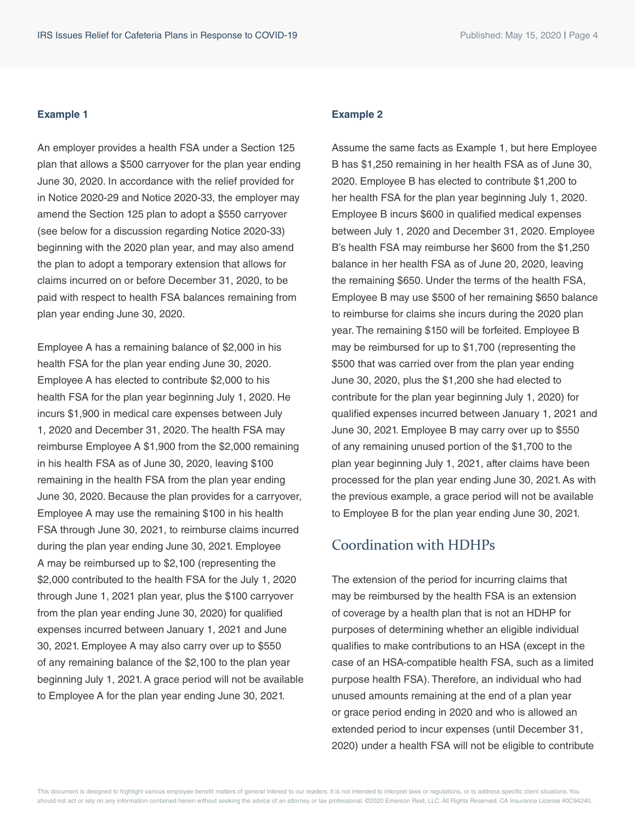#### **Example 1**

An employer provides a health FSA under a Section 125 plan that allows a \$500 carryover for the plan year ending June 30, 2020. In accordance with the relief provided for in Notice 2020-29 and Notice 2020-33, the employer may amend the Section 125 plan to adopt a \$550 carryover (see below for a discussion regarding Notice 2020-33) beginning with the 2020 plan year, and may also amend the plan to adopt a temporary extension that allows for claims incurred on or before December 31, 2020, to be paid with respect to health FSA balances remaining from plan year ending June 30, 2020.

Employee A has a remaining balance of \$2,000 in his health FSA for the plan year ending June 30, 2020. Employee A has elected to contribute \$2,000 to his health FSA for the plan year beginning July 1, 2020. He incurs \$1,900 in medical care expenses between July 1, 2020 and December 31, 2020. The health FSA may reimburse Employee A \$1,900 from the \$2,000 remaining in his health FSA as of June 30, 2020, leaving \$100 remaining in the health FSA from the plan year ending June 30, 2020. Because the plan provides for a carryover, Employee A may use the remaining \$100 in his health FSA through June 30, 2021, to reimburse claims incurred during the plan year ending June 30, 2021. Employee A may be reimbursed up to \$2,100 (representing the \$2,000 contributed to the health FSA for the July 1, 2020 through June 1, 2021 plan year, plus the \$100 carryover from the plan year ending June 30, 2020) for qualified expenses incurred between January 1, 2021 and June 30, 2021. Employee A may also carry over up to \$550 of any remaining balance of the \$2,100 to the plan year beginning July 1, 2021. A grace period will not be available to Employee A for the plan year ending June 30, 2021.

#### **Example 2**

Assume the same facts as Example 1, but here Employee B has \$1,250 remaining in her health FSA as of June 30, 2020. Employee B has elected to contribute \$1,200 to her health FSA for the plan year beginning July 1, 2020. Employee B incurs \$600 in qualified medical expenses between July 1, 2020 and December 31, 2020. Employee B's health FSA may reimburse her \$600 from the \$1,250 balance in her health FSA as of June 20, 2020, leaving the remaining \$650. Under the terms of the health FSA, Employee B may use \$500 of her remaining \$650 balance to reimburse for claims she incurs during the 2020 plan year. The remaining \$150 will be forfeited. Employee B may be reimbursed for up to \$1,700 (representing the \$500 that was carried over from the plan year ending June 30, 2020, plus the \$1,200 she had elected to contribute for the plan year beginning July 1, 2020) for qualified expenses incurred between January 1, 2021 and June 30, 2021. Employee B may carry over up to \$550 of any remaining unused portion of the \$1,700 to the plan year beginning July 1, 2021, after claims have been processed for the plan year ending June 30, 2021. As with the previous example, a grace period will not be available to Employee B for the plan year ending June 30, 2021.

# Coordination with HDHPs

The extension of the period for incurring claims that may be reimbursed by the health FSA is an extension of coverage by a health plan that is not an HDHP for purposes of determining whether an eligible individual qualifies to make contributions to an HSA (except in the case of an HSA-compatible health FSA, such as a limited purpose health FSA). Therefore, an individual who had unused amounts remaining at the end of a plan year or grace period ending in 2020 and who is allowed an extended period to incur expenses (until December 31, 2020) under a health FSA will not be eligible to contribute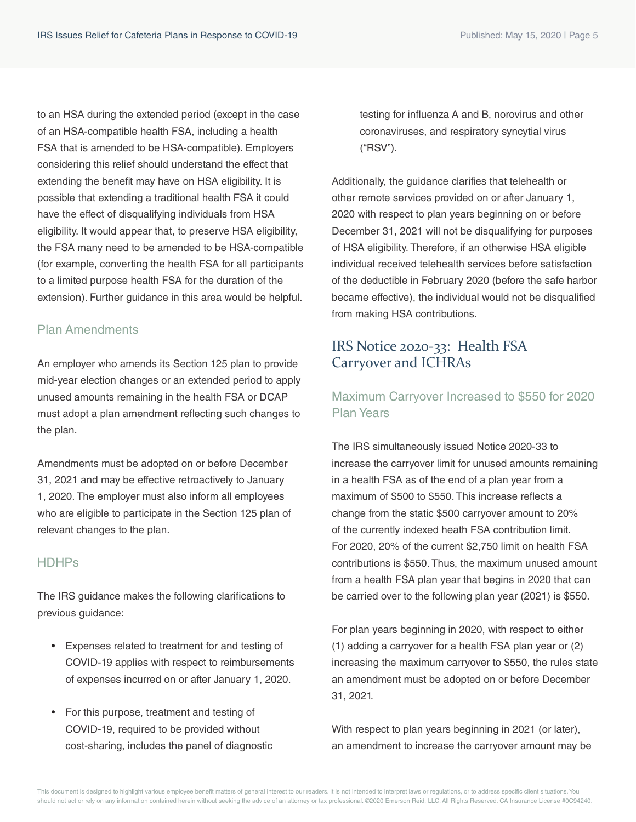to an HSA during the extended period (except in the case of an HSA-compatible health FSA, including a health FSA that is amended to be HSA-compatible). Employers considering this relief should understand the effect that extending the benefit may have on HSA eligibility. It is possible that extending a traditional health FSA it could have the effect of disqualifying individuals from HSA eligibility. It would appear that, to preserve HSA eligibility, the FSA many need to be amended to be HSA-compatible (for example, converting the health FSA for all participants to a limited purpose health FSA for the duration of the extension). Further guidance in this area would be helpful.

## Plan Amendments

An employer who amends its Section 125 plan to provide mid-year election changes or an extended period to apply unused amounts remaining in the health FSA or DCAP must adopt a plan amendment reflecting such changes to the plan.

Amendments must be adopted on or before December 31, 2021 and may be effective retroactively to January 1, 2020. The employer must also inform all employees who are eligible to participate in the Section 125 plan of relevant changes to the plan.

### HDHPs

The IRS guidance makes the following clarifications to previous guidance:

- Expenses related to treatment for and testing of COVID-19 applies with respect to reimbursements of expenses incurred on or after January 1, 2020.
- For this purpose, treatment and testing of COVID-19, required to be provided without cost-sharing, includes the panel of diagnostic

testing for influenza A and B, norovirus and other coronaviruses, and respiratory syncytial virus ("RSV").

Additionally, the guidance clarifies that telehealth or other remote services provided on or after January 1, 2020 with respect to plan years beginning on or before December 31, 2021 will not be disqualifying for purposes of HSA eligibility. Therefore, if an otherwise HSA eligible individual received telehealth services before satisfaction of the deductible in February 2020 (before the safe harbor became effective), the individual would not be disqualified from making HSA contributions.

# IRS Notice 2020-33: Health FSA Carryover and ICHRAs

## Maximum Carryover Increased to \$550 for 2020 Plan Years

The IRS simultaneously issued Notice 2020-33 to increase the carryover limit for unused amounts remaining in a health FSA as of the end of a plan year from a maximum of \$500 to \$550. This increase reflects a change from the static \$500 carryover amount to 20% of the currently indexed heath FSA contribution limit. For 2020, 20% of the current \$2,750 limit on health FSA contributions is \$550. Thus, the maximum unused amount from a health FSA plan year that begins in 2020 that can be carried over to the following plan year (2021) is \$550.

For plan years beginning in 2020, with respect to either (1) adding a carryover for a health FSA plan year or (2) increasing the maximum carryover to \$550, the rules state an amendment must be adopted on or before December 31, 2021.

With respect to plan years beginning in 2021 (or later), an amendment to increase the carryover amount may be